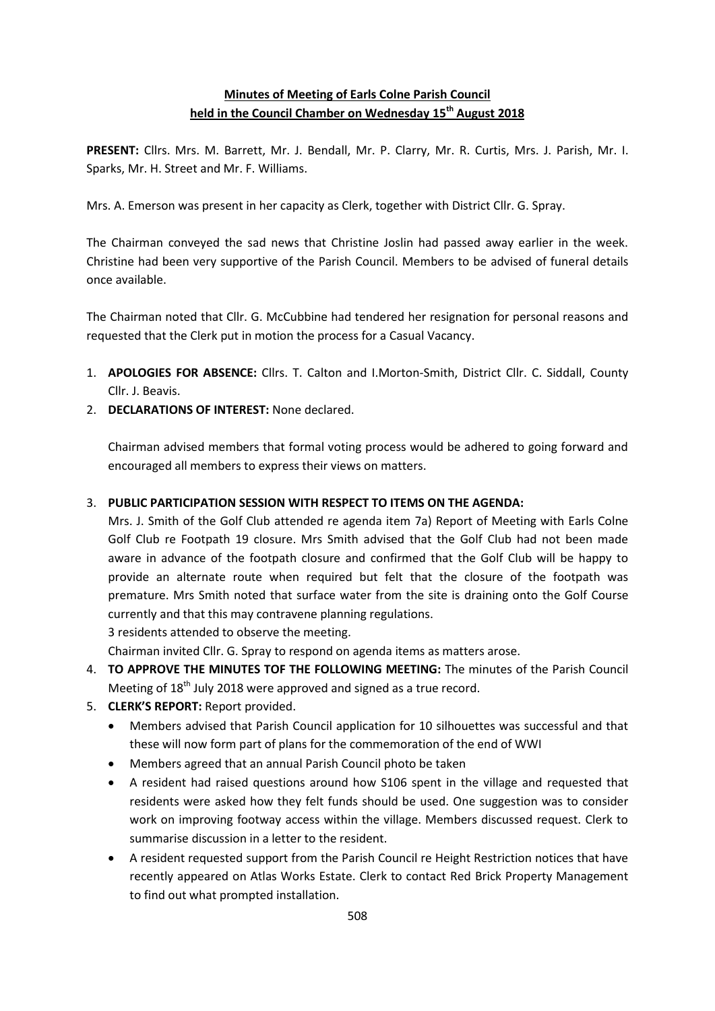## **Minutes of Meeting of Earls Colne Parish Council held in the Council Chamber on Wednesday 15th August 2018**

**PRESENT:** Cllrs. Mrs. M. Barrett, Mr. J. Bendall, Mr. P. Clarry, Mr. R. Curtis, Mrs. J. Parish, Mr. I. Sparks, Mr. H. Street and Mr. F. Williams.

Mrs. A. Emerson was present in her capacity as Clerk, together with District Cllr. G. Spray.

The Chairman conveyed the sad news that Christine Joslin had passed away earlier in the week. Christine had been very supportive of the Parish Council. Members to be advised of funeral details once available.

The Chairman noted that Cllr. G. McCubbine had tendered her resignation for personal reasons and requested that the Clerk put in motion the process for a Casual Vacancy.

- 1. **APOLOGIES FOR ABSENCE:** Cllrs. T. Calton and I.Morton-Smith, District Cllr. C. Siddall, County Cllr. J. Beavis.
- 2. **DECLARATIONS OF INTEREST:** None declared.

Chairman advised members that formal voting process would be adhered to going forward and encouraged all members to express their views on matters.

## 3. **PUBLIC PARTICIPATION SESSION WITH RESPECT TO ITEMS ON THE AGENDA:**

Mrs. J. Smith of the Golf Club attended re agenda item 7a) Report of Meeting with Earls Colne Golf Club re Footpath 19 closure. Mrs Smith advised that the Golf Club had not been made aware in advance of the footpath closure and confirmed that the Golf Club will be happy to provide an alternate route when required but felt that the closure of the footpath was premature. Mrs Smith noted that surface water from the site is draining onto the Golf Course currently and that this may contravene planning regulations.

3 residents attended to observe the meeting.

Chairman invited Cllr. G. Spray to respond on agenda items as matters arose.

- 4. **TO APPROVE THE MINUTES TOF THE FOLLOWING MEETING:** The minutes of the Parish Council Meeting of 18<sup>th</sup> July 2018 were approved and signed as a true record.
- 5. **CLERK'S REPORT:** Report provided.
	- Members advised that Parish Council application for 10 silhouettes was successful and that these will now form part of plans for the commemoration of the end of WWI
	- Members agreed that an annual Parish Council photo be taken
	- A resident had raised questions around how S106 spent in the village and requested that residents were asked how they felt funds should be used. One suggestion was to consider work on improving footway access within the village. Members discussed request. Clerk to summarise discussion in a letter to the resident.
	- A resident requested support from the Parish Council re Height Restriction notices that have recently appeared on Atlas Works Estate. Clerk to contact Red Brick Property Management to find out what prompted installation.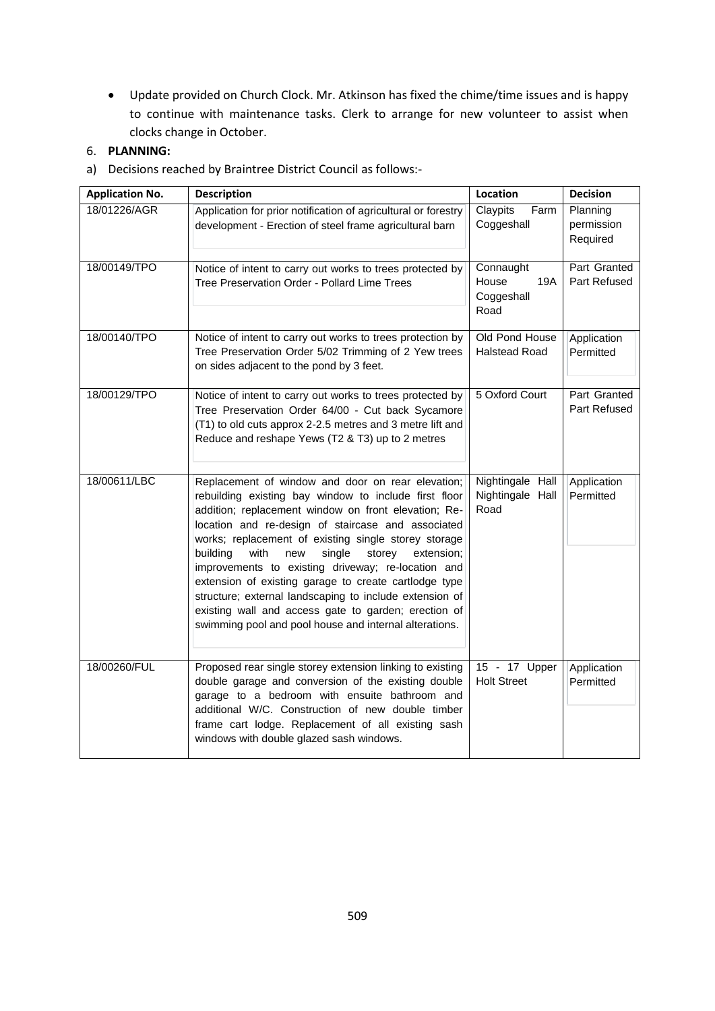Update provided on Church Clock. Mr. Atkinson has fixed the chime/time issues and is happy to continue with maintenance tasks. Clerk to arrange for new volunteer to assist when clocks change in October.

## 6. **PLANNING:**

a) Decisions reached by Braintree District Council as follows:-

| <b>Application No.</b> | <b>Description</b>                                                                                                                                                                                                                                                                                                                                                                                                                                                                                                                                                                                                                        | Location                                        | <b>Decision</b>                    |
|------------------------|-------------------------------------------------------------------------------------------------------------------------------------------------------------------------------------------------------------------------------------------------------------------------------------------------------------------------------------------------------------------------------------------------------------------------------------------------------------------------------------------------------------------------------------------------------------------------------------------------------------------------------------------|-------------------------------------------------|------------------------------------|
| 18/01226/AGR           | Application for prior notification of agricultural or forestry<br>development - Erection of steel frame agricultural barn                                                                                                                                                                                                                                                                                                                                                                                                                                                                                                                 | Claypits<br>Farm<br>Coggeshall                  | Planning<br>permission<br>Required |
| 18/00149/TPO           | Notice of intent to carry out works to trees protected by<br>Tree Preservation Order - Pollard Lime Trees                                                                                                                                                                                                                                                                                                                                                                                                                                                                                                                                 | Connaught<br>House<br>19A<br>Coggeshall<br>Road | Part Granted<br>Part Refused       |
| 18/00140/TPO           | Notice of intent to carry out works to trees protection by<br>Tree Preservation Order 5/02 Trimming of 2 Yew trees<br>on sides adjacent to the pond by 3 feet.                                                                                                                                                                                                                                                                                                                                                                                                                                                                            | Old Pond House<br><b>Halstead Road</b>          | Application<br>Permitted           |
| 18/00129/TPO           | Notice of intent to carry out works to trees protected by<br>Tree Preservation Order 64/00 - Cut back Sycamore<br>(T1) to old cuts approx 2-2.5 metres and 3 metre lift and<br>Reduce and reshape Yews (T2 & T3) up to 2 metres                                                                                                                                                                                                                                                                                                                                                                                                           | 5 Oxford Court                                  | Part Granted<br>Part Refused       |
| 18/00611/LBC           | Replacement of window and door on rear elevation;<br>rebuilding existing bay window to include first floor<br>addition; replacement window on front elevation; Re-<br>location and re-design of staircase and associated<br>works; replacement of existing single storey storage<br>building<br>with<br>single<br>storey<br>extension;<br>new<br>improvements to existing driveway; re-location and<br>extension of existing garage to create cartlodge type<br>structure; external landscaping to include extension of<br>existing wall and access gate to garden; erection of<br>swimming pool and pool house and internal alterations. | Nightingale Hall<br>Nightingale Hall<br>Road    | Application<br>Permitted           |
| 18/00260/FUL           | Proposed rear single storey extension linking to existing<br>double garage and conversion of the existing double<br>garage to a bedroom with ensuite bathroom and<br>additional W/C. Construction of new double timber<br>frame cart lodge. Replacement of all existing sash<br>windows with double glazed sash windows.                                                                                                                                                                                                                                                                                                                  | 15 - 17 Upper<br><b>Holt Street</b>             | Application<br>Permitted           |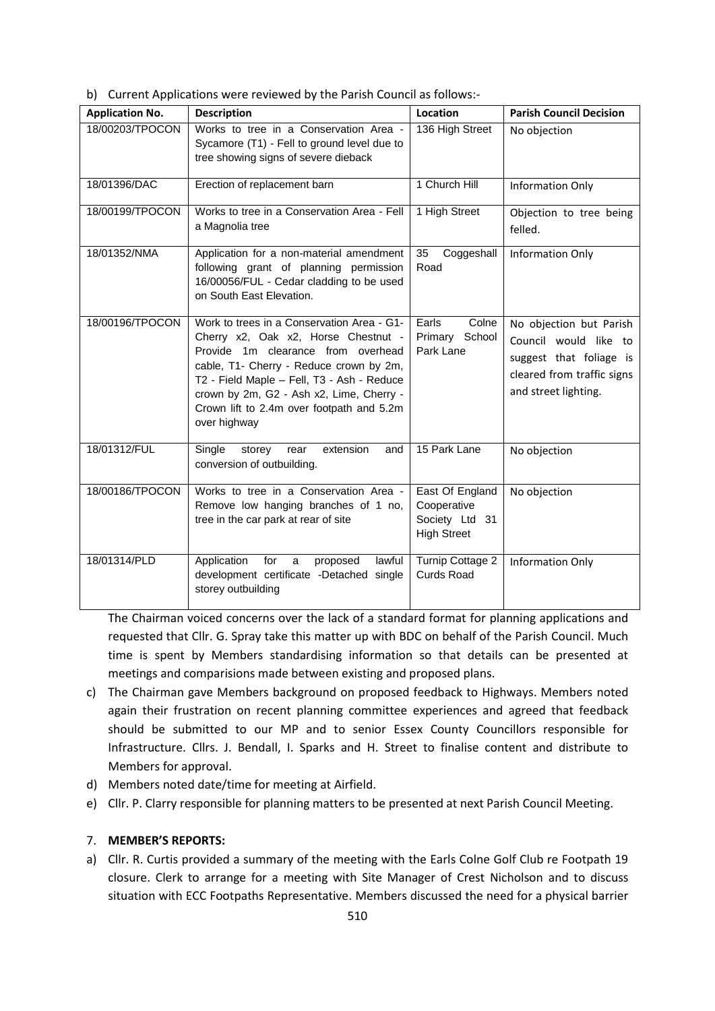b) Current Applications were reviewed by the Parish Council as follows:-

| <b>Application No.</b> | <b>Description</b>                                                                                                                                                                                                                                                                                                        | Location                                                               | <b>Parish Council Decision</b>                                                                                                    |
|------------------------|---------------------------------------------------------------------------------------------------------------------------------------------------------------------------------------------------------------------------------------------------------------------------------------------------------------------------|------------------------------------------------------------------------|-----------------------------------------------------------------------------------------------------------------------------------|
| 18/00203/TPOCON        | Works to tree in a Conservation Area -<br>Sycamore (T1) - Fell to ground level due to<br>tree showing signs of severe dieback                                                                                                                                                                                             | 136 High Street                                                        | No objection                                                                                                                      |
| 18/01396/DAC           | Erection of replacement barn                                                                                                                                                                                                                                                                                              | 1 Church Hill                                                          | Information Only                                                                                                                  |
| 18/00199/TPOCON        | Works to tree in a Conservation Area - Fell<br>a Magnolia tree                                                                                                                                                                                                                                                            | 1 High Street                                                          | Objection to tree being<br>felled.                                                                                                |
| 18/01352/NMA           | Application for a non-material amendment<br>following grant of planning permission<br>16/00056/FUL - Cedar cladding to be used<br>on South East Elevation.                                                                                                                                                                | 35<br>Coggeshall<br>Road                                               | <b>Information Only</b>                                                                                                           |
| 18/00196/TPOCON        | Work to trees in a Conservation Area - G1-<br>Cherry x2, Oak x2, Horse Chestnut -<br>Provide 1m clearance from overhead<br>cable, T1- Cherry - Reduce crown by 2m,<br>T2 - Field Maple - Fell, T3 - Ash - Reduce<br>crown by 2m, G2 - Ash x2, Lime, Cherry -<br>Crown lift to 2.4m over footpath and 5.2m<br>over highway | Earls<br>Colne<br>Primary School<br>Park Lane                          | No objection but Parish<br>Council would like to<br>suggest that foliage is<br>cleared from traffic signs<br>and street lighting. |
| 18/01312/FUL           | Single<br>extension<br>storey<br>rear<br>and<br>conversion of outbuilding.                                                                                                                                                                                                                                                | 15 Park Lane                                                           | No objection                                                                                                                      |
| 18/00186/TPOCON        | Works to tree in a Conservation Area -<br>Remove low hanging branches of 1 no,<br>tree in the car park at rear of site                                                                                                                                                                                                    | East Of England<br>Cooperative<br>Society Ltd 31<br><b>High Street</b> | No objection                                                                                                                      |
| 18/01314/PLD           | Application<br>for<br>proposed<br>lawful<br>$\mathsf{a}$<br>development certificate -Detached single<br>storey outbuilding                                                                                                                                                                                                | Turnip Cottage 2<br><b>Curds Road</b>                                  | Information Only                                                                                                                  |

The Chairman voiced concerns over the lack of a standard format for planning applications and requested that Cllr. G. Spray take this matter up with BDC on behalf of the Parish Council. Much time is spent by Members standardising information so that details can be presented at meetings and comparisions made between existing and proposed plans.

- c) The Chairman gave Members background on proposed feedback to Highways. Members noted again their frustration on recent planning committee experiences and agreed that feedback should be submitted to our MP and to senior Essex County Councillors responsible for Infrastructure. Cllrs. J. Bendall, I. Sparks and H. Street to finalise content and distribute to Members for approval.
- d) Members noted date/time for meeting at Airfield.
- e) Cllr. P. Clarry responsible for planning matters to be presented at next Parish Council Meeting.

## 7. **MEMBER'S REPORTS:**

a) Cllr. R. Curtis provided a summary of the meeting with the Earls Colne Golf Club re Footpath 19 closure. Clerk to arrange for a meeting with Site Manager of Crest Nicholson and to discuss situation with ECC Footpaths Representative. Members discussed the need for a physical barrier